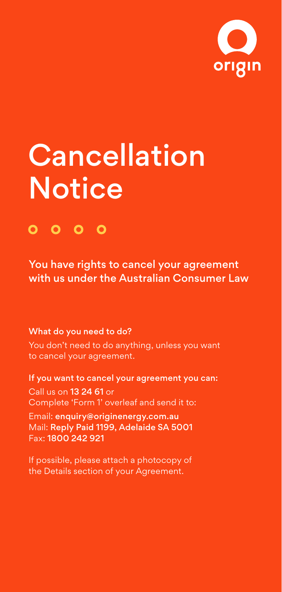

# **Cancellation Notice**

# $0000$

You have rights to cancel your agreement with us under the Australian Consumer Law

#### What do you need to do?

You don't need to do anything, unless you want to cancel your agreement.

If you want to cancel your agreement you can: Call us on 13 24 61 or Complete 'Form 1' overleaf and send it to:

Email: [enquiry@originenergy.com.au](mailto:enquiry@originenergy.com.au) Mail: Reply Paid 1199, Adelaide SA 5001 Fax: 1800 242 921

If possible, please attach a photocopy of the Details section of your Agreement.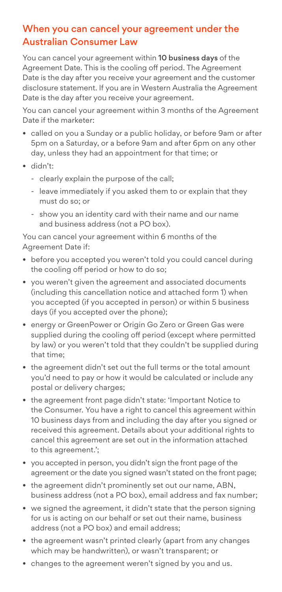### When you can cancel your agreement under the Australian Consumer Law

You can cancel your agreement within 10 business days of the Agreement Date. This is the cooling off period. The Agreement Date is the day after you receive your agreement and the customer disclosure statement. If you are in Western Australia the Agreement Date is the day after you receive your agreement.

You can cancel your agreement within 3 months of the Agreement Date if the marketer:

- called on you a Sunday or a public holiday, or before 9am or after 5pm on a Saturday, or a before 9am and after 6pm on any other day, unless they had an appointment for that time; or
- didn't:
	- clearly explain the purpose of the call;
	- leave immediately if you asked them to or explain that they must do so; or
	- show you an identity card with their name and our name and business address (not a PO box).

You can cancel your agreement within 6 months of the Agreement Date if:

- before you accepted you weren't told you could cancel during the cooling off period or how to do so;
- you weren't given the agreement and associated documents (including this cancellation notice and attached form 1) when you accepted (if you accepted in person) or within 5 business days (if you accepted over the phone);
- energy or GreenPower or Origin Go Zero or Green Gas were supplied during the cooling off period (except where permitted by law) or you weren't told that they couldn't be supplied during that time;
- the agreement didn't set out the full terms or the total amount you'd need to pay or how it would be calculated or include any postal or delivery charges;
- the agreement front page didn't state: 'Important Notice to the Consumer. You have a right to cancel this agreement within 10 business days from and including the day after you signed or received this agreement. Details about your additional rights to cancel this agreement are set out in the information attached to this agreement.';
- you accepted in person, you didn't sign the front page of the agreement or the date you signed wasn't stated on the front page:
- the agreement didn't prominently set out our name, ABN, business address (not a PO box), email address and fax number;
- we signed the agreement, it didn't state that the person signing for us is acting on our behalf or set out their name, business address (not a PO box) and email address;
- the agreement wasn't printed clearly (apart from any changes which may be handwritten), or wasn't transparent; or
- changes to the agreement weren't signed by you and us.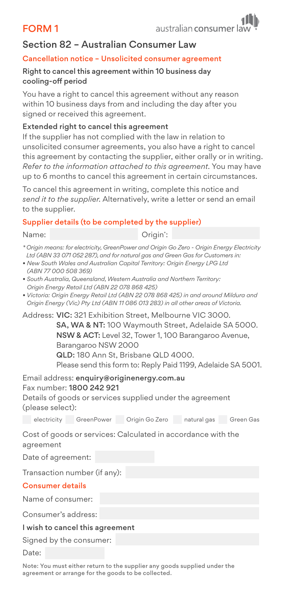## FORM 1



#### Section 82 – Australian Consumer Law

#### Cancellation notice – Unsolicited consumer agreement

#### Right to cancel this agreement within 10 business day cooling-off period

You have a right to cancel this agreement without any reason within 10 business days from and including the day after you signed or received this agreement.

#### Extended right to cancel this agreement

If the supplier has not complied with the law in relation to unsolicited consumer agreements, you also have a right to cancel this agreement by contacting the supplier, either orally or in writing. *Refer to the information attached to this agreement*. You may have up to 6 months to cancel this agreement in certain circumstances.

To cancel this agreement in writing, complete this notice and *send it to the supplier*. Alternatively, write a letter or send an email to the supplier.

#### Supplier details (to be completed by the supplier)

Name: Origin\* Origin<sup>\*</sup>:

- *\* Origin means: for electricity, GreenPower and Origin Go Zero Origin Energy Electricity Ltd (ABN 33 071 052 287), and for natural gas and Green Gas for Customers in:*
- *New South Wales and Australian Capital Territory: Origin Energy LPG Ltd (ABN 77 000 508 369)*
- *South Australia, Queensland, Western Australia and Northern Territory: Origin Energy Retail Ltd (ABN 22 078 868 425)*
- *Victoria: Origin Energy Retail Ltd (ABN 22 078 868 425) in and around Mildura and Origin Energy (Vic) Pty Ltd (ABN 11 086 013 283) in all other areas of Victoria.*

Address: VIC: 321 Exhibition Street, Melbourne VIC 3000. SA, WA & NT: 100 Waymouth Street, Adelaide SA 5000. NSW & ACT: Level 32, Tower 1, 100 Barangaroo Avenue, Barangaroo NSW 2000 QLD: 180 Ann St, Brisbane QLD 4000.

Please send this form to: Reply Paid 1199, Adelaide SA 5001.

#### Email address: [enquiry@originenergy.com.au](mailto:enquiry@originenergy.com.au) Fax number: 1800 242 921

Details of goods or services supplied under the agreement (please select):

electricity GreenPower Origin Go Zero natural gas Green Gas

Cost of goods or services: Calculated in accordance with the agreement

Date of agreement:

Transaction number (if any):

#### Consumer details

Name of consumer:

Consumer's address:

#### I wish to cancel this agreement

Signed by the consumer:

Date:

Note: You must either return to the supplier any goods supplied under the agreement or arrange for the goods to be collected.